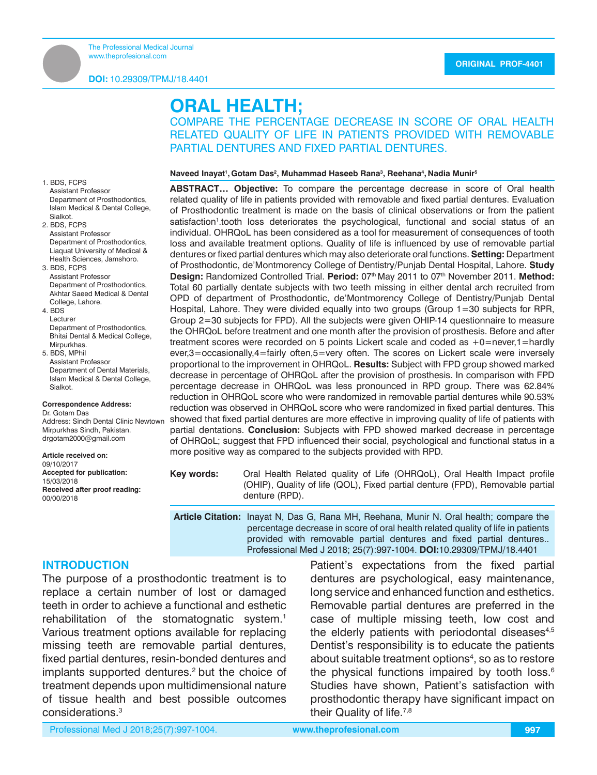# **ORAL HEALTH;**

COMPARE THE PERCENTAGE DECREASE IN SCORE OF ORAL HEALTH RELATED QUALITY OF LIFE IN PATIENTS PROVIDED WITH REMOVABLE PARTIAL DENTURES AND FIXED PARTIAL DENTURES.

#### **Naveed Inayat1 , Gotam Das2 , Muhammad Haseeb Rana3 , Reehana4 , Nadia Munir5**

**ABSTRACT… Objective:** To compare the percentage decrease in score of Oral health related quality of life in patients provided with removable and fixed partial dentures. Evaluation of Prosthodontic treatment is made on the basis of clinical observations or from the patient satisfaction<sup>1</sup>.tooth loss deteriorates the psychological, functional and social status of an individual. OHRQoL has been considered as a tool for measurement of consequences of tooth loss and available treatment options. Quality of life is influenced by use of removable partial dentures or fixed partial dentures which may also deteriorate oral functions. **Setting:** Department of Prosthodontic, de'Montmorency College of Dentistry/Punjab Dental Hospital, Lahore. **Study Design:** Randomized Controlled Trial. **Period:** 07th May 2011 to 07th November 2011. **Method:** Total 60 partially dentate subjects with two teeth missing in either dental arch recruited from OPD of department of Prosthodontic, de'Montmorency College of Dentistry/Punjab Dental Hospital, Lahore. They were divided equally into two groups (Group 1=30 subjects for RPR, Group 2=30 subjects for FPD). All the subjects were given OHIP-14 questionnaire to measure the OHRQoL before treatment and one month after the provision of prosthesis. Before and after treatment scores were recorded on 5 points Lickert scale and coded as +0=never,1=hardly ever,3=occasionally,4=fairly often,5=very often. The scores on Lickert scale were inversely proportional to the improvement in OHRQoL. **Results:** Subject with FPD group showed marked decrease in percentage of OHRQoL after the provision of prosthesis. In comparison with FPD percentage decrease in OHRQoL was less pronounced in RPD group. There was 62.84% reduction in OHRQoL score who were randomized in removable partial dentures while 90.53% reduction was observed in OHRQoL score who were randomized in fixed partial dentures. This showed that fixed partial dentures are more effective in improving quality of life of patients with partial dentations. **Conclusion:** Subjects with FPD showed marked decrease in percentage of OHRQoL; suggest that FPD influenced their social, psychological and functional status in a more positive way as compared to the subjects provided with RPD.

**Key words:** Oral Health Related quality of Life (OHRQoL), Oral Health Impact profile (OHIP), Quality of life (QOL), Fixed partial denture (FPD), Removable partial denture (RPD).

**Article Citation:** Inayat N, Das G, Rana MH, Reehana, Munir N. Oral health; compare the percentage decrease in score of oral health related quality of life in patients provided with removable partial dentures and fixed partial dentures.. Professional Med J 2018; 25(7):997-1004. **DOI:**10.29309/TPMJ/18.4401

## **INTRODUCTION**

1. BDS, FCPS Assistant Professor

Sialkot. 2. BDS, FCPS Assistant Professor

3. BDS, FCPS Assistant Professor Department of Prosthodontics. Akhtar Saeed Medical & Dental

4. BDS Lecturer

College, Lahore.

**Mirpurkhas** 5. BDS, MPhil Assistant Professor Department of Dental Materials, Islam Medical & Dental College,

Sialkot.

Dr. Gotam Das

15/03/2018

00/00/2018

Department of Prosthodontics Islam Medical & Dental College,

Department of Prosthodontics, Liaquat University of Medical & Health Sciences, Jamshoro.

Department of Prosthodontics, Bhitai Dental & Medical College,

**Correspondence Address:**

**Accepted for publication:**

**Received after proof reading:**

Address: Sindh Dental Clinic Newtown Mirpurkhas Sindh, Pakistan. drgotam2000@gmail.com **Article received on:** 09/10/2017

The purpose of a prosthodontic treatment is to replace a certain number of lost or damaged teeth in order to achieve a functional and esthetic rehabilitation of the stomatognatic system.<sup>1</sup> Various treatment options available for replacing missing teeth are removable partial dentures, fixed partial dentures, resin-bonded dentures and implants supported dentures.<sup>2</sup> but the choice of treatment depends upon multidimensional nature of tissue health and best possible outcomes considerations.3

Patient's expectations from the fixed partial dentures are psychological, easy maintenance, long service and enhanced function and esthetics. Removable partial dentures are preferred in the case of multiple missing teeth, low cost and the elderly patients with periodontal diseases $4,5$ Dentist's responsibility is to educate the patients about suitable treatment options<sup>4</sup>, so as to restore the physical functions impaired by tooth loss.<sup>6</sup> Studies have shown, Patient's satisfaction with prosthodontic therapy have significant impact on their Quality of life.<sup>7,8</sup>

Professional Med J 2018;25(7):997-1004. **www.theprofesional.com**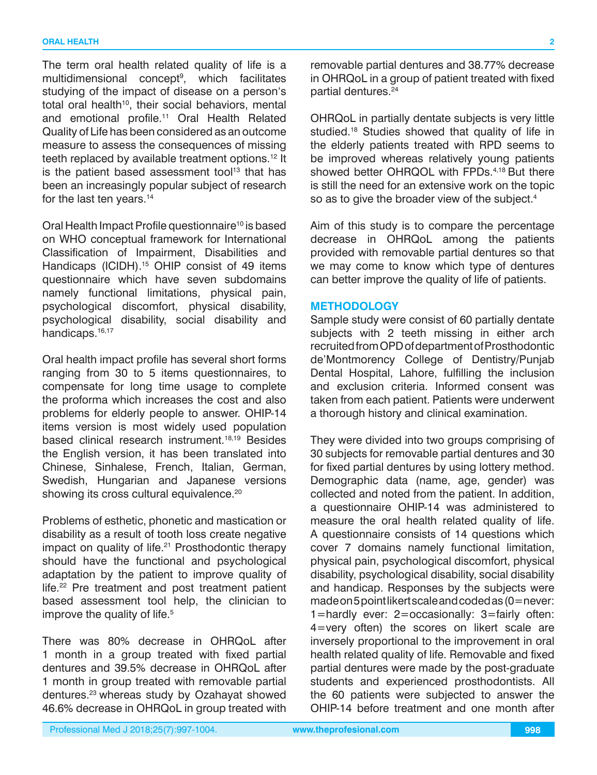The term oral health related quality of life is a multidimensional concept9 , which facilitates studying of the impact of disease on a person's total oral health<sup>10</sup>, their social behaviors, mental and emotional profile.11 Oral Health Related Quality of Life has been considered as an outcome measure to assess the consequences of missing teeth replaced by available treatment options.<sup>12</sup> It is the patient based assessment tool<sup>13</sup> that has been an increasingly popular subject of research for the last ten years.<sup>14</sup>

Oral Health Impact Profile questionnaire<sup>10</sup> is based on WHO conceptual framework for International Classification of Impairment, Disabilities and Handicaps (ICIDH).<sup>15</sup> OHIP consist of 49 items questionnaire which have seven subdomains namely functional limitations, physical pain, psychological discomfort, physical disability, psychological disability, social disability and handicaps.<sup>16,17</sup>

Oral health impact profile has several short forms ranging from 30 to 5 items questionnaires, to compensate for long time usage to complete the proforma which increases the cost and also problems for elderly people to answer. OHIP-14 items version is most widely used population based clinical research instrument.18,19 Besides the English version, it has been translated into Chinese, Sinhalese, French, Italian, German, Swedish, Hungarian and Japanese versions showing its cross cultural equivalence.<sup>20</sup>

Problems of esthetic, phonetic and mastication or disability as a result of tooth loss create negative impact on quality of life.<sup>21</sup> Prosthodontic therapy should have the functional and psychological adaptation by the patient to improve quality of life.<sup>22</sup> Pre treatment and post treatment patient based assessment tool help, the clinician to improve the quality of life.<sup>5</sup>

There was 80% decrease in OHRQoL after 1 month in a group treated with fixed partial dentures and 39.5% decrease in OHRQoL after 1 month in group treated with removable partial dentures.23 whereas study by Ozahayat showed 46.6% decrease in OHRQoL in group treated with

removable partial dentures and 38.77% decrease in OHRQoL in a group of patient treated with fixed partial dentures.<sup>24</sup>

OHRQoL in partially dentate subjects is very little studied.<sup>18</sup> Studies showed that quality of life in the elderly patients treated with RPD seems to be improved whereas relatively young patients showed better OHRQOL with FPDs.<sup>4,18</sup> But there is still the need for an extensive work on the topic so as to give the broader view of the subject.<sup>4</sup>

Aim of this study is to compare the percentage decrease in OHRQoL among the patients provided with removable partial dentures so that we may come to know which type of dentures can better improve the quality of life of patients.

#### **METHODOLOGY**

Sample study were consist of 60 partially dentate subjects with 2 teeth missing in either arch recruited from OPD of department of Prosthodontic de'Montmorency College of Dentistry/Punjab Dental Hospital, Lahore, fulfilling the inclusion and exclusion criteria. Informed consent was taken from each patient. Patients were underwent a thorough history and clinical examination.

They were divided into two groups comprising of 30 subjects for removable partial dentures and 30 for fixed partial dentures by using lottery method. Demographic data (name, age, gender) was collected and noted from the patient. In addition, a questionnaire OHIP-14 was administered to measure the oral health related quality of life. A questionnaire consists of 14 questions which cover 7 domains namely functional limitation, physical pain, psychological discomfort, physical disability, psychological disability, social disability and handicap. Responses by the subjects were made on 5 point likert scale and coded as (0=never: 1=hardly ever: 2=occasionally: 3=fairly often: 4=very often) the scores on likert scale are inversely proportional to the improvement in oral health related quality of life. Removable and fixed partial dentures were made by the post-graduate students and experienced prosthodontists. All the 60 patients were subjected to answer the OHIP-14 before treatment and one month after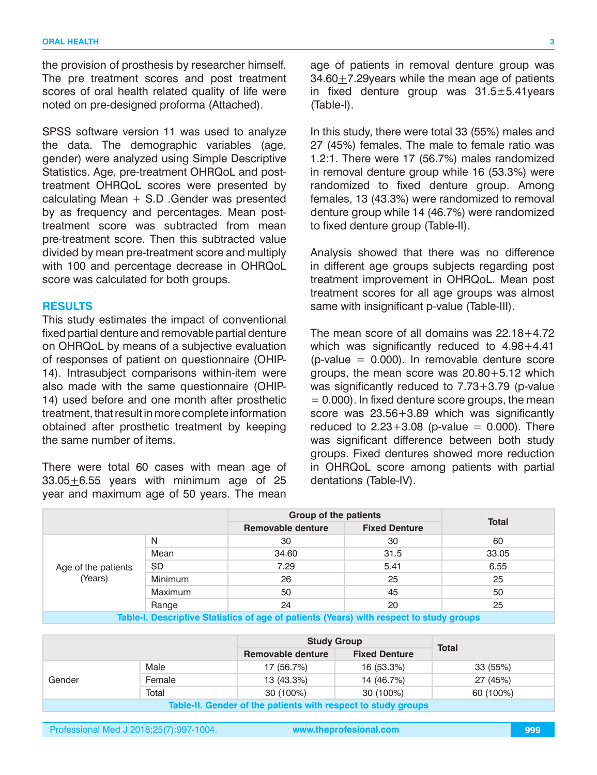the provision of prosthesis by researcher himself. The pre treatment scores and post treatment scores of oral health related quality of life were noted on pre-designed proforma (Attached).

SPSS software version 11 was used to analyze the data. The demographic variables (age, gender) were analyzed using Simple Descriptive Statistics. Age, pre-treatment OHRQoL and posttreatment OHRQoL scores were presented by calculating Mean + S.D .Gender was presented by as frequency and percentages. Mean posttreatment score was subtracted from mean pre-treatment score. Then this subtracted value divided by mean pre-treatment score and multiply with 100 and percentage decrease in OHRQoL score was calculated for both groups.

#### **RESULTS**

This study estimates the impact of conventional fixed partial denture and removable partial denture on OHRQoL by means of a subjective evaluation of responses of patient on questionnaire (OHIP-14). Intrasubject comparisons within-item were also made with the same questionnaire (OHIP-14) used before and one month after prosthetic treatment, that result in more complete information obtained after prosthetic treatment by keeping the same number of items.

There were total 60 cases with mean age of 33.05+6.55 years with minimum age of 25 year and maximum age of 50 years. The mean age of patients in removal denture group was 34.60+7.29years while the mean age of patients in fixed denture group was  $31.5 \pm 5.41$ years (Table-I).

In this study, there were total 33 (55%) males and 27 (45%) females. The male to female ratio was 1.2:1. There were 17 (56.7%) males randomized in removal denture group while 16 (53.3%) were randomized to fixed denture group. Among females, 13 (43.3%) were randomized to removal denture group while 14 (46.7%) were randomized to fixed denture group (Table-II).

Analysis showed that there was no difference in different age groups subjects regarding post treatment improvement in OHRQoL. Mean post treatment scores for all age groups was almost same with insignificant p-value (Table-III).

The mean score of all domains was 22.18+4.72 which was significantly reduced to 4.98+4.41  $(p-value = 0.000)$ . In removable denture score groups, the mean score was 20.80+5.12 which was significantly reduced to 7.73+3.79 (p-value  $= 0.000$ ). In fixed denture score groups, the mean score was 23.56+3.89 which was significantly reduced to  $2.23 + 3.08$  (p-value = 0.000). There was significant difference between both study groups. Fixed dentures showed more reduction in OHRQoL score among patients with partial dentations (Table-IV).

|                                                                                        |           | <b>Group of the patients</b> |                      |              |
|----------------------------------------------------------------------------------------|-----------|------------------------------|----------------------|--------------|
|                                                                                        |           | <b>Removable denture</b>     | <b>Fixed Denture</b> | <b>Total</b> |
|                                                                                        | N         | 30                           | 30                   | 60           |
|                                                                                        | Mean      | 34.60                        | 31.5                 | 33.05        |
| Age of the patients                                                                    | <b>SD</b> | 7.29                         | 5.41                 | 6.55         |
| (Years)                                                                                | Minimum   | 26                           | 25                   | 25           |
|                                                                                        | Maximum   | 50                           | 45                   | 50           |
|                                                                                        | Range     | 24                           | 20                   | 25           |
| Table-L Descriptive Statistics of age of patients (Vears) with respect to study groups |           |                              |                      |              |

**Table-I. Descriptive Statistics of age of patients (Years) with respect to study groups**

|                                                               |        | <b>Study Group</b>                        |            | <b>Total</b> |  |
|---------------------------------------------------------------|--------|-------------------------------------------|------------|--------------|--|
|                                                               |        | Removable denture<br><b>Fixed Denture</b> |            |              |  |
|                                                               | Male   | 17 (56.7%)                                | 16 (53.3%) | 33 (55%)     |  |
| Gender                                                        | Female | 13 (43.3%)                                | 14 (46.7%) | 27 (45%)     |  |
|                                                               | Total  | 30 (100%)                                 | 30 (100%)  | 60 (100%)    |  |
| Table-II. Gender of the patients with respect to study groups |        |                                           |            |              |  |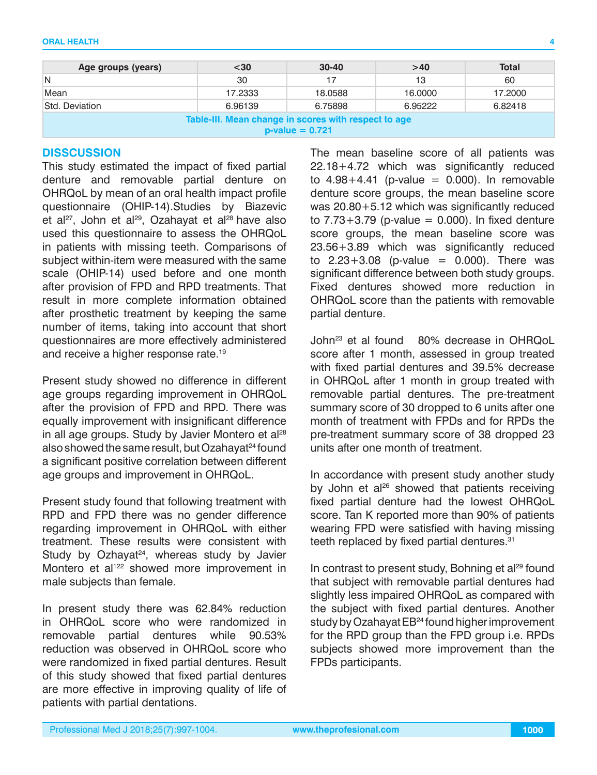| Age groups (years)                                                        | $30$    | $30 - 40$ | >40     | <b>Total</b> |  |  |
|---------------------------------------------------------------------------|---------|-----------|---------|--------------|--|--|
| N                                                                         | 30      | 17        | 13      | 60           |  |  |
| Mean                                                                      | 17.2333 | 18,0588   | 16.0000 | 17,2000      |  |  |
| Std. Deviation                                                            | 6.96139 | 6.75898   | 6.95222 | 6.82418      |  |  |
| Table-III. Mean change in scores with respect to age<br>$p-value = 0.721$ |         |           |         |              |  |  |

#### **DISSCUSSION**

This study estimated the impact of fixed partial denture and removable partial denture on OHRQoL by mean of an oral health impact profile questionnaire (OHIP-14).Studies by Biazevic et al<sup>27</sup>, John et al<sup>29</sup>, Ozahayat et al<sup>28</sup> have also used this questionnaire to assess the OHRQoL in patients with missing teeth. Comparisons of subject within-item were measured with the same scale (OHIP-14) used before and one month after provision of FPD and RPD treatments. That result in more complete information obtained after prosthetic treatment by keeping the same number of items, taking into account that short questionnaires are more effectively administered and receive a higher response rate.<sup>19</sup>

Present study showed no difference in different age groups regarding improvement in OHRQoL after the provision of FPD and RPD. There was equally improvement with insignificant difference in all age groups. Study by Javier Montero et al<sup>28</sup> also showed the same result, but Ozahayat<sup>24</sup> found a significant positive correlation between different age groups and improvement in OHRQoL.

Present study found that following treatment with RPD and FPD there was no gender difference regarding improvement in OHRQoL with either treatment. These results were consistent with Study by Ozhayat<sup>24</sup>, whereas study by Javier Montero et al<sup>122</sup> showed more improvement in male subjects than female.

In present study there was 62.84% reduction in OHRQoL score who were randomized in removable partial dentures while 90.53% reduction was observed in OHRQoL score who were randomized in fixed partial dentures. Result of this study showed that fixed partial dentures are more effective in improving quality of life of patients with partial dentations.

The mean baseline score of all patients was 22.18+4.72 which was significantly reduced to  $4.98+4.41$  (p-value = 0.000). In removable denture score groups, the mean baseline score was 20.80+5.12 which was significantly reduced to  $7.73+3.79$  (p-value = 0.000). In fixed denture score groups, the mean baseline score was 23.56+3.89 which was significantly reduced to  $2.23 + 3.08$  (p-value = 0.000). There was significant difference between both study groups. Fixed dentures showed more reduction in OHRQoL score than the patients with removable partial denture.

John23 et al found 80% decrease in OHRQoL score after 1 month, assessed in group treated with fixed partial dentures and 39.5% decrease in OHRQoL after 1 month in group treated with removable partial dentures. The pre-treatment summary score of 30 dropped to 6 units after one month of treatment with FPDs and for RPDs the pre-treatment summary score of 38 dropped 23 units after one month of treatment.

In accordance with present study another study by John et al<sup>26</sup> showed that patients receiving fixed partial denture had the lowest OHRQoL score. Tan K reported more than 90% of patients wearing FPD were satisfied with having missing teeth replaced by fixed partial dentures.<sup>31</sup>

In contrast to present study, Bohning et al<sup>29</sup> found that subject with removable partial dentures had slightly less impaired OHRQoL as compared with the subject with fixed partial dentures. Another study by Ozahayat EB<sup>24</sup> found higher improvement for the RPD group than the FPD group i.e. RPDs subjects showed more improvement than the FPDs participants.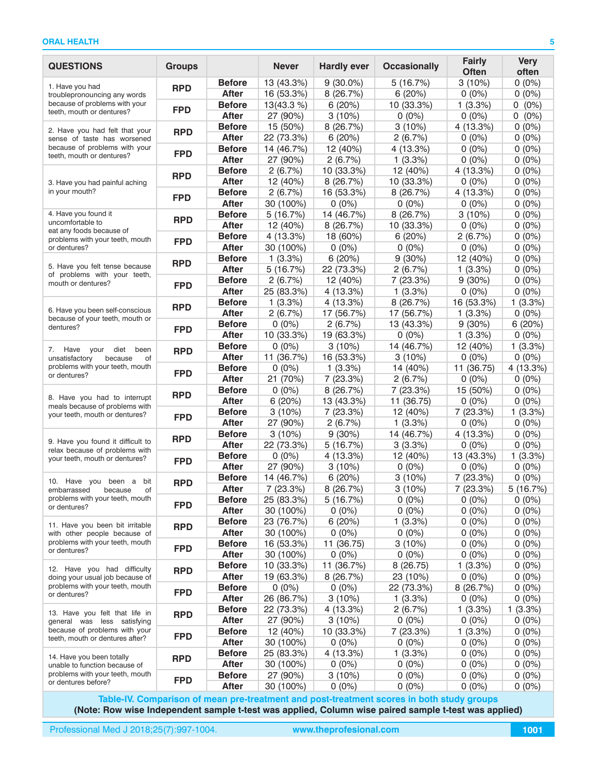| <b>QUESTIONS</b>                                                                                  | <b>Groups</b> |                               | <b>Never</b>            | <b>Hardly ever</b>     | <b>Occasionally</b>    | <b>Fairly</b><br><b>Often</b> | <b>Very</b><br>often |
|---------------------------------------------------------------------------------------------------|---------------|-------------------------------|-------------------------|------------------------|------------------------|-------------------------------|----------------------|
| 1. Have you had                                                                                   |               | <b>Before</b>                 | 13 (43.3%)              | $9(30.0\%)$            | 5(16.7%)               | 3(10%)                        | $0(0\%)$             |
| troublepronouncing any words                                                                      | <b>RPD</b>    | <b>After</b>                  | 16 (53.3%)              | 8 (26.7%)              | 6 (20%)                | $0(0\%)$                      | $0(0\%)$             |
| because of problems with your                                                                     |               | <b>Before</b>                 | 13(43.3 %)              | 6(20%)                 | 10 (33.3%)             | 1(3.3%)                       | $0(0\%)$             |
| teeth, mouth or dentures?                                                                         | <b>FPD</b>    | <b>After</b>                  | 27 (90%)                | 3(10%)                 | $0(0\%)$               | $0(0\%)$                      | $0(0\%)$             |
| 2. Have you had felt that your<br>sense of taste has worsened                                     | <b>RPD</b>    | <b>Before</b>                 | 15 (50%)                | 8(26.7%)               | 3(10%)                 | 4 (13.3%)                     | $0(0\%)$             |
|                                                                                                   |               | <b>After</b>                  | 22 (73.3%)              | 6(20%)                 | 2(6.7%)                | $0(0\%)$                      | $0(0\%)$             |
| because of problems with your                                                                     |               | <b>Before</b>                 | 14 (46.7%)              | 12 (40%)               | 4 (13.3%)              | $0(0\%)$                      | $0(0\%)$             |
| teeth, mouth or dentures?                                                                         | <b>FPD</b>    | <b>After</b>                  | 27 (90%)                | 2(6.7%)                | 1(3.3%)                | $0(0\%)$                      | $0(0\%)$             |
|                                                                                                   | <b>RPD</b>    | <b>Before</b>                 | 2(6.7%)                 | 10 (33.3%)             | 12 (40%)               | 4(13.3%)                      | $0(0\%)$             |
| 3. Have you had painful aching                                                                    |               | <b>After</b>                  | 12 (40%)                | 8(26.7%)               | 10 (33.3%)             | $0(0\%)$                      | $0(0\%)$             |
| in your mouth?                                                                                    | <b>FPD</b>    | <b>Before</b>                 | 2(6.7%)                 | 16 (53.3%)             | 8(26.7%)               | 4(13.3%)                      | $0(0\%)$             |
|                                                                                                   |               | <b>After</b>                  | 30 (100%)               | $0(0\%)$               | $0(0\%)$               | $0(0\%)$                      | $0(0\%)$             |
| 4. Have you found it                                                                              | <b>RPD</b>    | <b>Before</b>                 | 5(16.7%)                | 14 (46.7%)             | 8(26.7%)               | 3(10%)                        | $0(0\%)$             |
| uncomfortable to<br>eat any foods because of                                                      |               | <b>After</b>                  | 12 (40%)                | 8 (26.7%)              | 10 (33.3%)             | $0(0\%)$                      | $0(0\%)$             |
| problems with your teeth, mouth                                                                   | <b>FPD</b>    | <b>Before</b>                 | 4 (13.3%)               | 18 (60%)               | 6(20%)                 | 2(6.7%)                       | $0(0\%)$             |
| or dentures?                                                                                      |               | <b>After</b>                  | 30 (100%)               | $0(0\%)$               | $0(0\%)$               | $0(0\%)$                      | $0(0\%)$             |
| 5. Have you felt tense because                                                                    | <b>RPD</b>    | <b>Before</b>                 | 1(3.3%)                 | 6(20%)                 | 9(30%)                 | 12 (40%)                      | $0(0\%)$             |
| of problems with your teeth,                                                                      |               | <b>After</b>                  | 5(16.7%)                | 22 (73.3%)             | 2(6.7%)                | 1(3.3%)                       | $0(0\%)$             |
| mouth or dentures?                                                                                | <b>FPD</b>    | <b>Before</b>                 | 2(6.7%)                 | 12 (40%)               | 7 (23.3%)              | 9(30%)                        | $0(0\%)$             |
|                                                                                                   |               | <b>After</b>                  | 25 (83.3%)              | 4 (13.3%)              | 1(3.3%)                | $0(0\%)$                      | $0(0\%)$             |
| 6. Have you been self-conscious                                                                   | <b>RPD</b>    | <b>Before</b>                 | 1(3.3%)                 | 4(13.3%)               | 8(26.7%)               | 16 (53.3%)                    | 1(3.3%)              |
| because of your teeth, mouth or                                                                   |               | <b>After</b>                  | 2(6.7%)                 | 17 (56.7%)             | 17 (56.7%)             | 1(3.3%)                       | $0(0\%)$             |
| dentures?                                                                                         | <b>FPD</b>    | <b>Before</b><br><b>After</b> | $0(0\%)$<br>10 (33.3%)  | 2(6.7%)<br>19 (63.3%)  | 13 (43.3%)<br>$0(0\%)$ | 9(30%)<br>1(3.3%)             | 6(20%)<br>$0(0\%)$   |
|                                                                                                   |               | <b>Before</b>                 | $0(0\%)$                | 3(10%)                 | 14 (46.7%)             | 12 (40%)                      | 1(3.3%)              |
| 7.<br>Have<br>your<br>diet<br>been<br>of                                                          | <b>RPD</b>    | <b>After</b>                  | 11 (36.7%)              | 16 (53.3%)             | 3(10%)                 | $0(0\%)$                      | $0(0\%)$             |
| unsatisfactory<br>because<br>problems with your teeth, mouth<br>or dentures?                      |               | <b>Before</b>                 | $0(0\%)$                | 1(3.3%)                | 14 (40%)               | 11 (36.75)                    | 4 (13.3%)            |
|                                                                                                   | <b>FPD</b>    | <b>After</b>                  | 21 (70%)                | 7 (23.3%)              | 2(6.7%)                | $0(0\%)$                      | $0(0\%)$             |
| 8. Have you had to interrupt<br>meals because of problems with<br>your teeth, mouth or dentures?  | <b>RPD</b>    | <b>Before</b>                 | $0(0\%)$                | 8 (26.7%)              | 7 (23.3%)              | 15 (50%)                      | $0(0\%)$             |
|                                                                                                   |               | <b>After</b>                  | 6(20%)                  | 13 (43.3%)             | 11 (36.75)             | $0(0\%)$                      | $0(0\%)$             |
|                                                                                                   | <b>FPD</b>    | <b>Before</b>                 | $3(10\%)$               | 7(23.3%)               | 12 (40%)               | 7(23.3%)                      | 1(3.3%)              |
|                                                                                                   |               | <b>After</b>                  | 27 (90%)                | 2(6.7%)                | 1(3.3%)                | $0(0\%)$                      | $0(0\%)$             |
|                                                                                                   | <b>RPD</b>    | <b>Before</b>                 | 3(10%)                  | 9(30%)                 | 14 (46.7%)             | 4(13.3%)                      | $0(0\%)$             |
| 9. Have you found it difficult to<br>relax because of problems with                               |               | <b>After</b>                  | 22 (73.3%)              | 5(16.7%)               | 3(3.3%)                | $0(0\%)$                      | $0(0\%)$             |
| your teeth, mouth or dentures?                                                                    | <b>FPD</b>    | <b>Before</b>                 | $0(0\%)$                | 4(13.3%)               | 12 (40%)               | 13 (43.3%)                    | 1(3.3%)              |
|                                                                                                   |               | <b>After</b>                  | 27 (90%)                | 3(10%)                 | $0(0\%)$               | $0(0\%)$                      | $0(0\%)$             |
| 10. Have you been a<br>bit                                                                        | <b>RPD</b>    | <b>Before</b>                 | 14 (46.7%)              | 6(20%)                 | 3(10%)                 | 7(23.3%)                      | $0(0\%)$             |
| embarrassed<br>because<br>of                                                                      |               | <b>After</b>                  | 7 (23.3%)               | 8(26.7%)               | 3(10%)                 | 7(23.3%)                      | 5(16.7%)             |
| problems with your teeth, mouth<br>or dentures?                                                   | <b>FPD</b>    | <b>Before</b>                 | 25 (83.3%)              | 5(16.7%)               | $0(0\%)$               | $0(0\%)$                      | $0(0\%)$             |
|                                                                                                   |               | <b>After</b>                  | 30 (100%)               | $0(0\%)$               | $0(0\%)$               | $0(0\%)$                      | $0(0\%)$             |
| 11. Have you been bit irritable                                                                   | <b>RPD</b>    | <b>Before</b>                 | 23 (76.7%)              | 6(20%)                 | 1(3.3%)                | $0(0\%)$                      | $0(0\%)$             |
| with other people because of<br>problems with your teeth, mouth                                   |               | After<br><b>Before</b>        | 30 (100%)<br>16 (53.3%) | $0(0\%)$<br>11 (36.75) | $0(0\%)$<br>3(10%)     | $0(0\%)$<br>$0(0\%)$          | $0(0\%)$<br>$0(0\%)$ |
| or dentures?                                                                                      | <b>FPD</b>    | <b>After</b>                  | 30 (100%)               | $0(0\%)$               | $0(0\%)$               | $0(0\%)$                      | $0(0\%)$             |
|                                                                                                   |               | <b>Before</b>                 | 10 (33.3%)              | 11 (36.7%)             | 8 (26.75)              | 1(3.3%)                       | $0(0\%)$             |
| 12. Have you had difficulty<br>doing your usual job because of<br>problems with your teeth, mouth | <b>RPD</b>    | After                         | 19 (63.3%)              | 8(26.7%)               | 23 (10%)               | $0(0\%)$                      | $0(0\%)$             |
|                                                                                                   |               | <b>Before</b>                 | $0(0\%)$                | $0(0\%)$               | 22 (73.3%)             | 8(26.7%)                      | $0(0\%)$             |
| or dentures?                                                                                      | <b>FPD</b>    | <b>After</b>                  | 26 (86.7%)              | 3(10%)                 | 1(3.3%)                | $0(0\%)$                      | $0(0\%)$             |
|                                                                                                   | <b>RPD</b>    | <b>Before</b>                 | 22 (73.3%)              | 4 (13.3%)              | 2(6.7%)                | 1(3.3%)                       | 1(3.3%)              |
| 13. Have you felt that life in<br>general was less satisfying                                     |               | After                         | 27 (90%)                | 3(10%)                 | $0(0\%)$               | $0(0\%)$                      | $0(0\%)$             |
| because of problems with your                                                                     |               | <b>Before</b>                 | 12 (40%)                | 10 (33.3%)             | 7 (23.3%)              | 1(3.3%)                       | $0(0\%)$             |
| teeth, mouth or dentures after?                                                                   | <b>FPD</b>    | After                         | 30 (100%)               | $0(0\%)$               | $0(0\%)$               | $0(0\%)$                      | $0(0\%)$             |
| 14. Have you been totally                                                                         | <b>RPD</b>    | <b>Before</b>                 | 25 (83.3%)              | 4(13.3%)               | 1(3.3%)                | $0(0\%)$                      | $0(0\%)$             |
| unable to function because of                                                                     |               | <b>After</b>                  | 30 (100%)               | $0(0\%)$               | $0(0\%)$               | $0(0\%)$                      | $0(0\%)$             |
| problems with your teeth, mouth<br>or dentures before?                                            | <b>FPD</b>    | <b>Before</b>                 | 27 (90%)                | $3(10\%)$              | $0(0\%)$               | $0(0\%)$                      | $0(0\%)$             |
|                                                                                                   |               | After                         | 30 (100%)               | $0(0\%)$               | $0(0\%)$               | $0(0\%)$                      | $0(0\%)$             |

**Table-IV. Comparison of mean pre-treatment and post-treatment scores in both study groups (Note: Row wise Independent sample t-test was applied, Column wise paired sample t-test was applied)**

Professional Med J 2018;25(7):997-1004. **www.theprofesional.com**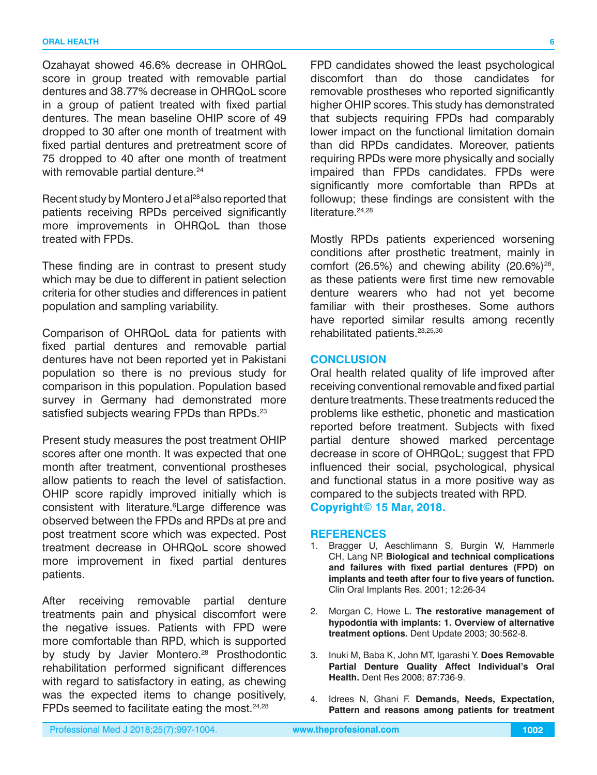Ozahayat showed 46.6% decrease in OHRQoL score in group treated with removable partial dentures and 38.77% decrease in OHRQoL score in a group of patient treated with fixed partial dentures. The mean baseline OHIP score of 49 dropped to 30 after one month of treatment with fixed partial dentures and pretreatment score of 75 dropped to 40 after one month of treatment with removable partial denture.<sup>24</sup>

Recent study by Montero J et al<sup>28</sup> also reported that patients receiving RPDs perceived significantly more improvements in OHRQoL than those treated with FPDs.

These finding are in contrast to present study which may be due to different in patient selection criteria for other studies and differences in patient population and sampling variability.

Comparison of OHRQoL data for patients with fixed partial dentures and removable partial dentures have not been reported yet in Pakistani population so there is no previous study for comparison in this population. Population based survey in Germany had demonstrated more satisfied subjects wearing FPDs than RPDs.<sup>23</sup>

Present study measures the post treatment OHIP scores after one month. It was expected that one month after treatment, conventional prostheses allow patients to reach the level of satisfaction. OHIP score rapidly improved initially which is consistent with literature.<sup>6</sup>Large difference was observed between the FPDs and RPDs at pre and post treatment score which was expected. Post treatment decrease in OHRQoL score showed more improvement in fixed partial dentures patients.

After receiving removable partial denture treatments pain and physical discomfort were the negative issues. Patients with FPD were more comfortable than RPD, which is supported by study by Javier Montero.<sup>28</sup> Prosthodontic rehabilitation performed significant differences with regard to satisfactory in eating, as chewing was the expected items to change positively, FPDs seemed to facilitate eating the most.<sup>24,28</sup>

FPD candidates showed the least psychological discomfort than do those candidates for removable prostheses who reported significantly higher OHIP scores. This study has demonstrated that subjects requiring FPDs had comparably lower impact on the functional limitation domain than did RPDs candidates. Moreover, patients requiring RPDs were more physically and socially impaired than FPDs candidates. FPDs were significantly more comfortable than RPDs at followup; these findings are consistent with the literature.<sup>24,28</sup>

Mostly RPDs patients experienced worsening conditions after prosthetic treatment, mainly in comfort (26.5%) and chewing ability  $(20.6\%)^{28}$ , as these patients were first time new removable denture wearers who had not yet become familiar with their prostheses. Some authors have reported similar results among recently rehabilitated patients.<sup>23,25,30</sup>

#### **CONCLUSION**

Oral health related quality of life improved after receiving conventional removable and fixed partial denture treatments. These treatments reduced the problems like esthetic, phonetic and mastication reported before treatment. Subjects with fixed partial denture showed marked percentage decrease in score of OHRQoL; suggest that FPD influenced their social, psychological, physical and functional status in a more positive way as compared to the subjects treated with RPD. **Copyright© 15 Mar, 2018.**

#### **REFERENCES**

- 1. Bragger U, Aeschlimann S, Burgin W, Hammerle CH, Lang NP. **Biological and technical complications and failures with fixed partial dentures (FPD) on implants and teeth after four to five years of function.**  Clin Oral Implants Res. 2001; 12:26-34
- 2. Morgan C, Howe L. **The restorative management of hypodontia with implants: 1. Overview of alternative treatment options.** Dent Update 2003; 30:562-8.
- 3. Inuki M, Baba K, John MT, Igarashi Y. **Does Removable Partial Denture Quality Affect Individual's Oral Health.** Dent Res 2008; 87:736-9.
- 4. Idrees N, Ghani F. **Demands, Needs, Expectation, Pattern and reasons among patients for treatment**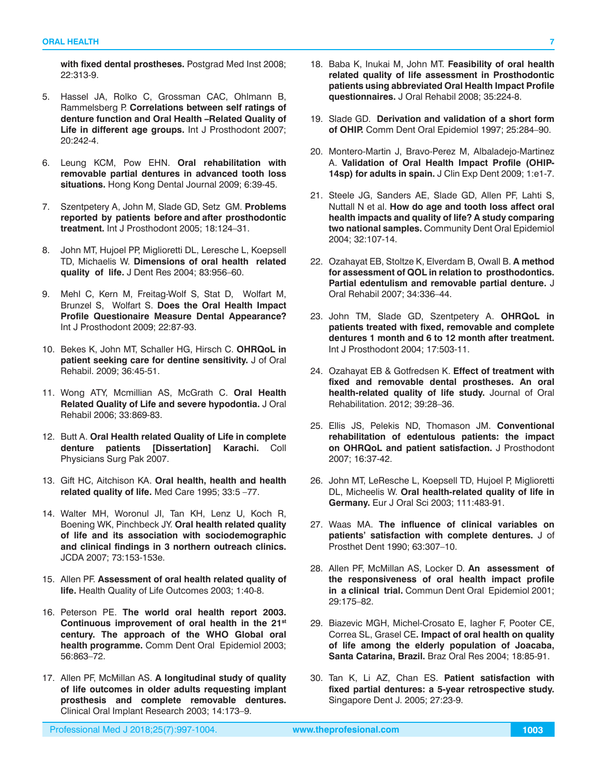**with fixed dental prostheses.** Postgrad Med Inst 2008; 22:313-9.

- 5. Hassel JA, Rolko C, Grossman CAC, Ohlmann B, Rammelsberg P. **Correlations between self ratings of denture function and Oral Health –Related Quality of Life in different age groups.** Int J Prosthodont 2007; 20:242-4.
- 6. Leung KCM, Pow EHN. **Oral rehabilitation with removable partial dentures in advanced tooth loss situations.** Hong Kong Dental Journal 2009; 6:39-45.
- 7. Szentpetery A, John M, Slade GD, Setz GM. **Problems reported by patients before and after prosthodontic treatment.** Int J Prosthodont 2005; 18:124–31.
- 8. John MT, Hujoel PP, Miglioretti DL, Leresche L, Koepsell TD, Michaelis W. **Dimensions of oral health related quality of life.** J Dent Res 2004; 83:956–60.
- 9. Mehl C, Kern M, Freitag-Wolf S, Stat D, Wolfart M, Brunzel S, Wolfart S. **Does the Oral Health Impact Profile Questionaire Measure Dental Appearance?** Int J Prosthodont 2009; 22:87-93.
- 10. Bekes K, John MT, Schaller HG, Hirsch C. **OHRQoL in patient seeking care for dentine sensitivity.** J of Oral Rehabil. 2009; 36:45-51.
- 11. Wong ATY, Mcmillian AS, McGrath C. **Oral Health Related Quality of Life and severe hypodontia.** J Oral Rehabil 2006; 33:869-83.
- 12. Butt A. **Oral Health related Quality of Life in complete denture patients [Dissertation] Karachi.** Coll Physicians Surg Pak 2007.
- 13. Gift HC, Aitchison KA. **Oral health, health and health related quality of life.** Med Care 1995; 33:5 –77.
- 14. Walter MH, Woronul JI, Tan KH, Lenz U, Koch R, Boening WK, Pinchbeck JY. **Oral health related quality of life and its association with sociodemographic and clinical findings in 3 northern outreach clinics.** JCDA 2007; 73:153-153e.
- 15. Allen PF. **Assessment of oral health related quality of life.** Health Quality of Life Outcomes 2003; 1:40-8.
- 16. Peterson PE. **The world oral health report 2003. Continuous improvement of oral health in the 21st century. The approach of the WHO Global oral health programme.** Comm Dent Oral Epidemiol 2003; 56:863–72.
- 17. Allen PF, McMillan AS. **A longitudinal study of quality of life outcomes in older adults requesting implant prosthesis and complete removable dentures.** Clinical Oral Implant Research 2003; 14:173–9.
- 18. Baba K, Inukai M, John MT. **Feasibility of oral health related quality of life assessment in Prosthodontic patients using abbreviated Oral Health Impact Profile questionnaires.** J Oral Rehabil 2008; 35:224-8.
- 19. Slade GD. **Derivation and validation of a short form of OHIP.** Comm Dent Oral Epidemiol 1997; 25:284–90.
- 20. Montero-Martin J, Bravo-Perez M, Albaladejo-Martinez A. **Validation of Oral Health Impact Profile (OHIP-14sp) for adults in spain.** J Clin Exp Dent 2009; 1:e1-7.
- 21. Steele JG, Sanders AE, Slade GD, Allen PF, Lahti S, Nuttall N et al. **How do age and tooth loss affect oral health impacts and quality of life? A study comparing two national samples.** Community Dent Oral Epidemiol 2004; 32:107-14.
- 22. Ozahayat EB, Stoltze K, Elverdam B, Owall B. **A method for assessment of QOL in relation to prosthodontics. Partial edentulism and removable partial denture.** J Oral Rehabil 2007; 34:336–44.
- 23. John TM, Slade GD, Szentpetery A. **OHRQoL in patients treated with fixed, removable and complete dentures 1 month and 6 to 12 month after treatment.** Int J Prosthodont 2004; 17:503-11.
- 24. Ozahayat EB & Gotfredsen K. **Effect of treatment with fixed and removable dental prostheses. An oral health-related quality of life study.** Journal of Oral Rehabilitation. 2012; 39:28–36.
- 25. Ellis JS, Pelekis ND, Thomason JM. **Conventional rehabilitation of edentulous patients: the impact on OHRQoL and patient satisfaction.** J Prosthodont 2007; 16:37-42.
- 26. John MT, LeResche L, Koepsell TD, Hujoel P, Miglioretti DL, Micheelis W. **Oral health-related quality of life in Germany.** Eur J Oral Sci 2003; 111:483-91.
- 27. Waas MA. **The influence of clinical variables on patients' satisfaction with complete dentures.** J of Prosthet Dent 1990; 63:307–10.
- 28. Allen PF, McMillan AS, Locker D. **An assessment of the responsiveness of oral health impact profile in a clinical trial.** Commun Dent Oral Epidemiol 2001; 29:175–82.
- 29. Biazevic MGH, Michel-Crosato E, Iagher F, Pooter CE, Correa SL, Grasel CE**. Impact of oral health on quality of life among the elderly population of Joacaba, Santa Catarina, Brazil.** Braz Oral Res 2004; 18:85-91.
- 30. Tan K, Li AZ, Chan ES. **Patient satisfaction with fixed partial dentures: a 5-year retrospective study.** Singapore Dent J. 2005; 27:23-9.